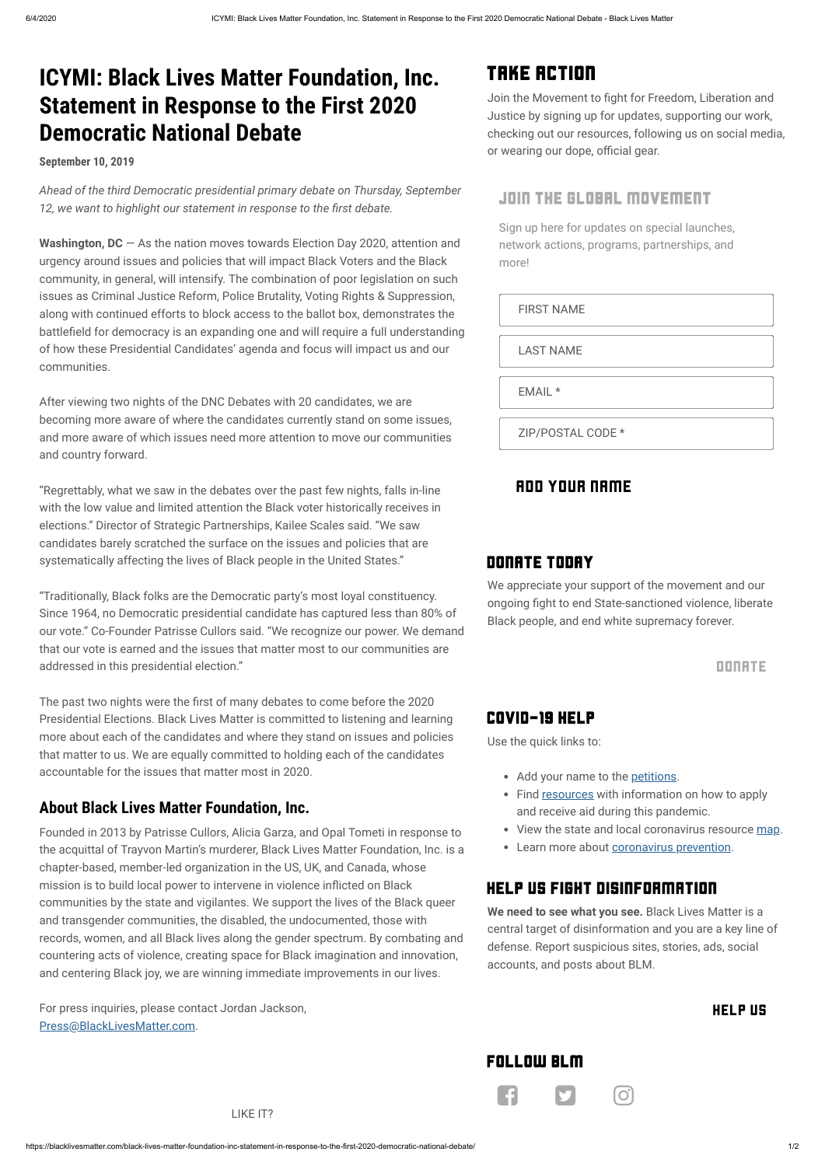*Ahead of the third Democratic presidential primary debate on Thursday, September* 12, we want to highlight our statement in response to the first debate.

# **ICYMI: Black Lives Matter Foundation, Inc. Statement in Response to the First 2020 Democratic National Debate**

**September 10, 2019**

**Washington, DC** — As the nation moves towards Election Day 2020, attention and urgency around issues and policies that will impact Black Voters and the Black community, in general, will intensify. The combination of poor legislation on such issues as Criminal Justice Reform, Police Brutality, Voting Rights & Suppression, along with continued efforts to block access to the ballot box, demonstrates the battlefield for democracy is an expanding one and will require a full understanding of how these Presidential Candidates' agenda and focus will impact us and our communities.

The past two nights were the first of many debates to come before the 2020 Presidential Elections. Black Lives Matter is committed to listening and learning more about each of the candidates and where they stand on issues and policies that matter to us. We are equally committed to holding each of the candidates accountable for the issues that matter most in 2020.

After viewing two nights of the DNC Debates with 20 candidates, we are becoming more aware of where the candidates currently stand on some issues, and more aware of which issues need more attention to move our communities and country forward.

"Regrettably, what we saw in the debates over the past few nights, falls in-line with the low value and limited attention the Black voter historically receives in elections." Director of Strategic Partnerships, Kailee Scales said. "We saw candidates barely scratched the surface on the issues and policies that are systematically affecting the lives of Black people in the United States."

mission is to build local power to intervene in violence inflicted on Black communities by the state and vigilantes. We support the lives of the Black queer and transgender communities, the disabled, the undocumented, those with records, women, and all Black lives along the gender spectrum. By combating and countering acts of violence, creating space for Black imagination and innovation, and centering Black joy, we are winning immediate improvements in our lives.

"Traditionally, Black folks are the Democratic party's most loyal constituency. Since 1964, no Democratic presidential candidate has captured less than 80% of our vote." Co-Founder Patrisse Cullors said. "We recognize our power. We demand that our vote is earned and the issues that matter most to our communities are addressed in this presidential election."

#### **About Black Lives Matter Foundation, Inc.**

Founded in 2013 by Patrisse Cullors, Alicia Garza, and Opal Tometi in response to the acquittal of Trayvon Martin's murderer, Black Lives Matter Foundation, Inc. is a chapter-based, member-led organization in the US, UK, and Canada, whose

For press inquiries, please contact Jordan Jackson,

[Press@BlackLivesMatter.com](mailto:press@blacklivesmatter.com).

LIKE IT?

## Take Action

Join the Movement to fight for Freedom, Liberation and Justice by signing up for updates, supporting our work, checking out our resources, following us on social media, or wearing our dope, official gear.

#### Join the Global Movement

Sign up here for updates on special launches, network actions, programs, partnerships, and more!

FIRST NAME

LAST NAME

EMAIL \*

ZIP/POSTAL CODE \*

### ADD YOUR NAME

#### Donate Today

We appreciate your support of the movement and our ongoing fight to end State-sanctioned violence, liberate Black people, and end white supremacy forever.

#### [DONATE](https://secure.actblue.com/donate/ms_blm_homepage_2019)

### COVID-19 Help

Use the quick links to:

## Help Us Fight Disinformation

**We need to see what you see.** Black Lives Matter is a central target of disinformation and you are a key line of defense. Report suspicious sites, stories, ads, social accounts, and posts about BLM.

[HELP](https://blacklivesmatter.com/help-us-fight-disinformation/) US

Follow BLM

**FI 9 0** 

- Add your name to the [petitions.](https://blacklivesmatter.com/petitions/)
- Find [resources](https://blacklivesmatter.com/covid-19-resources/) with information on how to apply and receive aid during this pandemic.
- View the state and local coronavirus resource [map](https://blacklivesmatter.com/coronavirus-resource-map/).
- Learn more about [coronavirus prevention](https://blacklivesmatter.com/coronavirus-prevention/).